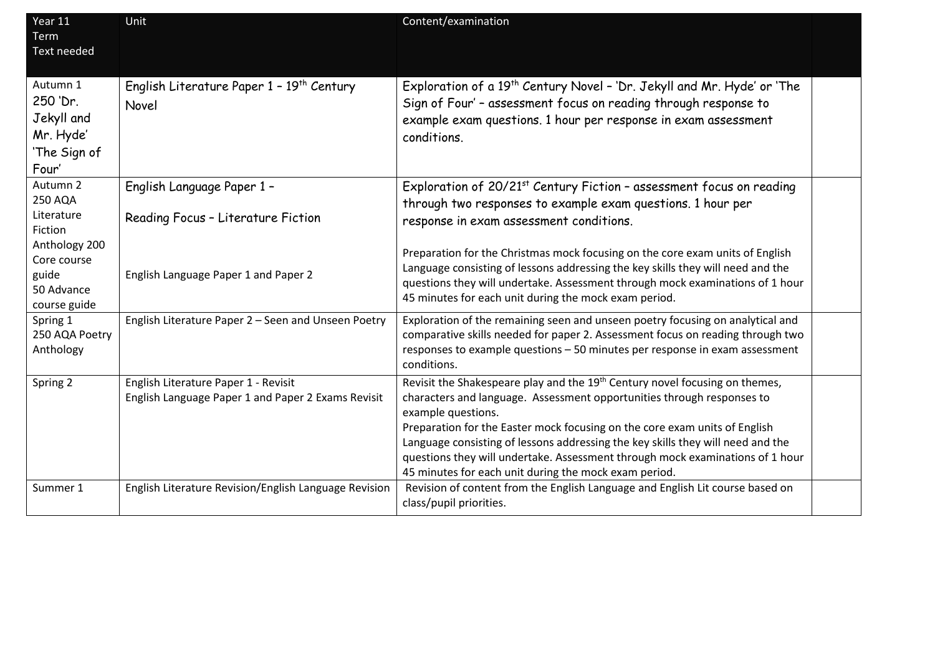| Year 11<br><b>Term</b><br><b>Text needed</b>                                          | Unit                                                                                                     | Content/examination                                                                                                                                                                                                                                                                                                                                                                                                                                                                                |  |
|---------------------------------------------------------------------------------------|----------------------------------------------------------------------------------------------------------|----------------------------------------------------------------------------------------------------------------------------------------------------------------------------------------------------------------------------------------------------------------------------------------------------------------------------------------------------------------------------------------------------------------------------------------------------------------------------------------------------|--|
| Autumn 1<br>250 'Dr.<br>Jekyll and<br>Mr. Hyde'<br>'The Sign of<br>Four'              | English Literature Paper 1 - 19 <sup>th</sup> Century<br>Novel                                           | Exploration of a 19 <sup>th</sup> Century Novel - 'Dr. Jekyll and Mr. Hyde' or 'The<br>Sign of Four' - assessment focus on reading through response to<br>example exam questions. 1 hour per response in exam assessment<br>conditions.                                                                                                                                                                                                                                                            |  |
| Autumn 2<br>250 AQA<br>Literature<br>Fiction<br>Anthology 200<br>Core course<br>guide | English Language Paper 1 -<br>Reading Focus - Literature Fiction<br>English Language Paper 1 and Paper 2 | Exploration of 20/21 <sup>st</sup> Century Fiction - assessment focus on reading<br>through two responses to example exam questions. 1 hour per<br>response in exam assessment conditions.<br>Preparation for the Christmas mock focusing on the core exam units of English<br>Language consisting of lessons addressing the key skills they will need and the                                                                                                                                     |  |
| 50 Advance<br>course guide                                                            |                                                                                                          | questions they will undertake. Assessment through mock examinations of 1 hour<br>45 minutes for each unit during the mock exam period.                                                                                                                                                                                                                                                                                                                                                             |  |
| Spring 1<br>250 AQA Poetry<br>Anthology                                               | English Literature Paper 2 - Seen and Unseen Poetry                                                      | Exploration of the remaining seen and unseen poetry focusing on analytical and<br>comparative skills needed for paper 2. Assessment focus on reading through two<br>responses to example questions - 50 minutes per response in exam assessment<br>conditions.                                                                                                                                                                                                                                     |  |
| Spring 2                                                                              | English Literature Paper 1 - Revisit<br>English Language Paper 1 and Paper 2 Exams Revisit               | Revisit the Shakespeare play and the 19 <sup>th</sup> Century novel focusing on themes,<br>characters and language. Assessment opportunities through responses to<br>example questions.<br>Preparation for the Easter mock focusing on the core exam units of English<br>Language consisting of lessons addressing the key skills they will need and the<br>questions they will undertake. Assessment through mock examinations of 1 hour<br>45 minutes for each unit during the mock exam period. |  |
| Summer 1                                                                              | English Literature Revision/English Language Revision                                                    | Revision of content from the English Language and English Lit course based on<br>class/pupil priorities.                                                                                                                                                                                                                                                                                                                                                                                           |  |